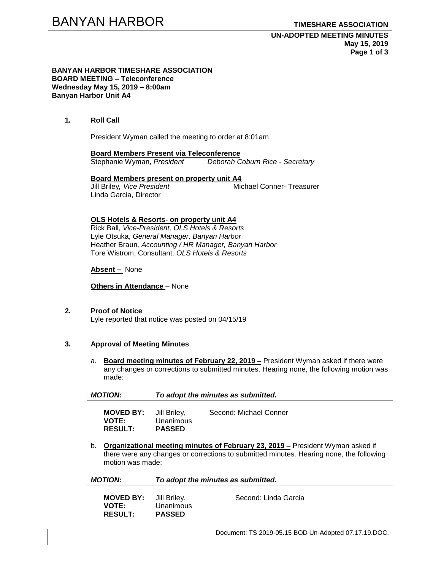#### **BANYAN HARBOR TIMESHARE ASSOCIATION BOARD MEETING – Teleconference Wednesday May 15, 2019 – 8:00am Banyan Harbor Unit A4**

### **1. Roll Call**

President Wyman called the meeting to order at 8:01am.

**Board Members Present via Teleconference** Stephanie Wyman, *President Deborah Coburn Rice - Secretary*

### **Board Members present on property unit A4**

Jill Briley*, Vice President* Michael Conner- Treasurer Linda Garcia, Director

#### **OLS Hotels & Resorts- on property unit A4**

Rick Ball, *Vice-President, OLS Hotels & Resorts* Lyle Otsuka, *General Manager, Banyan Harbor* Heather Braun*, Accounting / HR Manager, Banyan Harbor* Tore Wistrom, Consultant. *OLS Hotels & Resorts*

#### **Absent –** None

**Others in Attendance** – None

**RESULT: PASSED**

# **2. Proof of Notice**

Lyle reported that notice was posted on 04/15/19

#### **3. Approval of Meeting Minutes**

a. **Board meeting minutes of February 22, 2019 –** President Wyman asked if there were any changes or corrections to submitted minutes. Hearing none, the following motion was made:

| <b>MOTION:</b>                                | To adopt the minutes as submitted. |                        |  |  |
|-----------------------------------------------|------------------------------------|------------------------|--|--|
| <b>MOVED BY:</b> Jill Briley,<br><b>VOTE:</b> | Unanimous                          | Second: Michael Conner |  |  |

b. **Organizational meeting minutes of February 23, 2019 –** President Wyman asked if there were any changes or corrections to submitted minutes. Hearing none, the following motion was made:

| <b>MOTION:</b>                                                  | To adopt the minutes as submitted. |                      |  |  |
|-----------------------------------------------------------------|------------------------------------|----------------------|--|--|
| <b>MOVED BY:</b> Jill Briley,<br><b>VOTE:</b><br><b>RESULT:</b> | Unanimous<br><b>PASSED</b>         | Second: Linda Garcia |  |  |

Document: TS 2019-05.15 BOD Un-Adopted 07.17.19.DOC.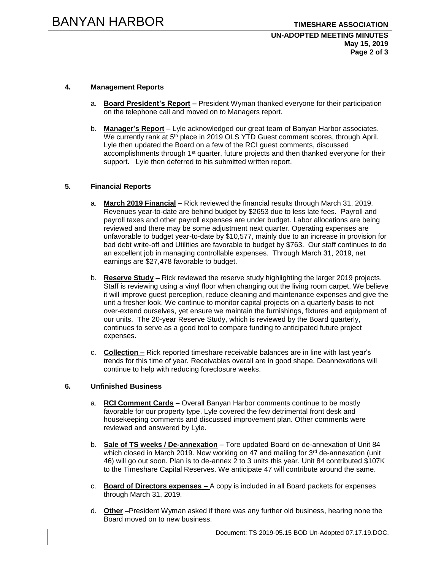### **UN-ADOPTED MEETING MINUTES May 15, 2019 Page 2 of 3**

## **4. Management Reports**

- a. **Board President's Report –** President Wyman thanked everyone for their participation on the telephone call and moved on to Managers report.
- b. **Manager's Report** Lyle acknowledged our great team of Banyan Harbor associates. We currently rank at 5<sup>th</sup> place in 2019 OLS YTD Guest comment scores, through April. Lyle then updated the Board on a few of the RCI guest comments, discussed accomplishments through 1<sup>st</sup> quarter, future projects and then thanked everyone for their support. Lyle then deferred to his submitted written report.

### **5. Financial Reports**

- a. **March 2019 Financial –** Rick reviewed the financial results through March 31, 2019. Revenues year-to-date are behind budget by \$2653 due to less late fees. Payroll and payroll taxes and other payroll expenses are under budget. Labor allocations are being reviewed and there may be some adjustment next quarter. Operating expenses are unfavorable to budget year-to-date by \$10,577, mainly due to an increase in provision for bad debt write-off and Utilities are favorable to budget by \$763. Our staff continues to do an excellent job in managing controllable expenses. Through March 31, 2019, net earnings are \$27,478 favorable to budget.
- b. **Reserve Study –** Rick reviewed the reserve study highlighting the larger 2019 projects. Staff is reviewing using a vinyl floor when changing out the living room carpet. We believe it will improve guest perception, reduce cleaning and maintenance expenses and give the unit a fresher look. We continue to monitor capital projects on a quarterly basis to not over-extend ourselves, yet ensure we maintain the furnishings, fixtures and equipment of our units. The 20-year Reserve Study, which is reviewed by the Board quarterly, continues to serve as a good tool to compare funding to anticipated future project expenses.
- c. **Collection –** Rick reported timeshare receivable balances are in line with last year's trends for this time of year. Receivables overall are in good shape. Deannexations will continue to help with reducing foreclosure weeks.

#### **6. Unfinished Business**

- a. **RCI Comment Cards –** Overall Banyan Harbor comments continue to be mostly favorable for our property type. Lyle covered the few detrimental front desk and housekeeping comments and discussed improvement plan. Other comments were reviewed and answered by Lyle.
- b. **Sale of TS weeks / De-annexation** Tore updated Board on de-annexation of Unit 84 which closed in March 2019. Now working on 47 and mailing for  $3<sup>rd</sup>$  de-annexation (unit 46) will go out soon. Plan is to de-annex 2 to 3 units this year. Unit 84 contributed \$107K to the Timeshare Capital Reserves. We anticipate 47 will contribute around the same.
- c. **Board of Directors expenses –** A copy is included in all Board packets for expenses through March 31, 2019.
- d. **Other –**President Wyman asked if there was any further old business, hearing none the Board moved on to new business.

Document: TS 2019-05.15 BOD Un-Adopted 07.17.19.DOC.